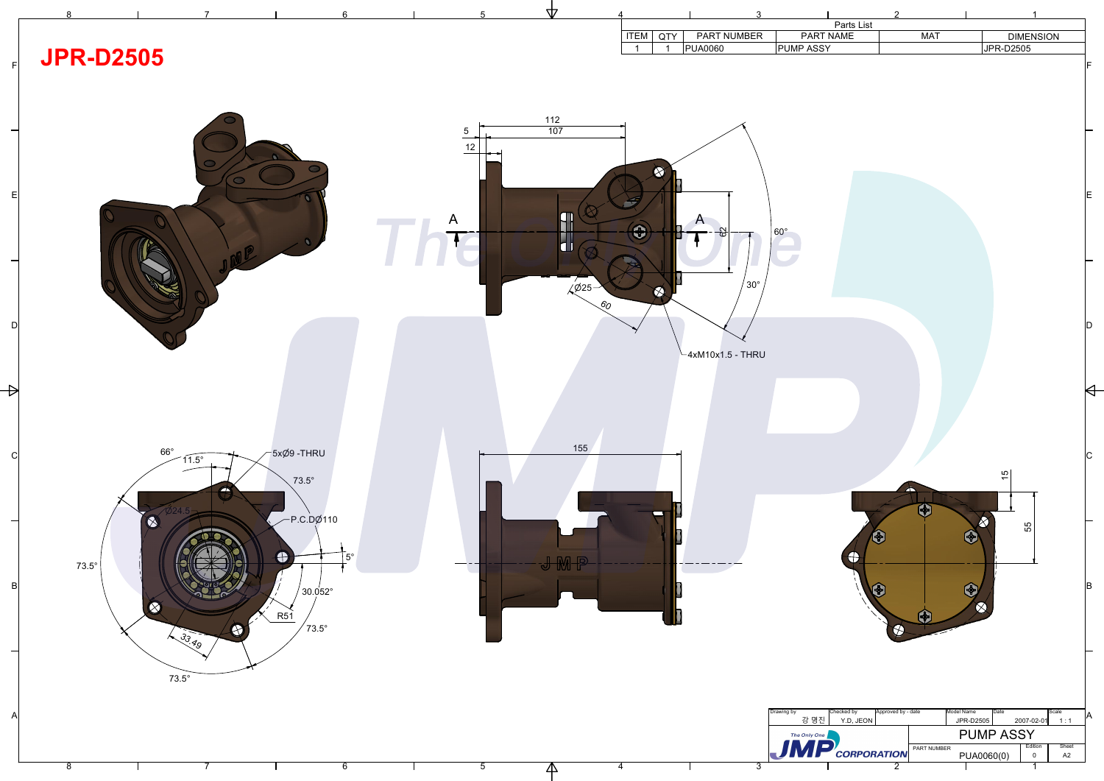

| Drawing by   | Approved by - date<br>Checked by |  |                    | Model Name | <b>I</b> Date<br>Scale |            |       |  |
|--------------|----------------------------------|--|--------------------|------------|------------------------|------------|-------|--|
| 강 명진         | Y.D, JEON                        |  |                    | JPR-D2505  |                        | 2007-02-01 | 1:1   |  |
| The Only One |                                  |  | <b>PUMP ASSY</b>   |            |                        |            |       |  |
|              |                                  |  | <b>PART NUMBER</b> |            |                        | Edition    | Sheet |  |
|              | CORPORATION                      |  |                    | PUA0060(0) |                        |            | A2    |  |
|              |                                  |  |                    |            |                        |            |       |  |

|                 |             |              | 3                                             |                  |                         | $\mathcal{P}$ |                  |           |
|-----------------|-------------|--------------|-----------------------------------------------|------------------|-------------------------|---------------|------------------|-----------|
|                 | <b>ITEM</b> | <b>QTY</b>   | PART NUMBER                                   |                  | Parts List<br>PART NAME | <b>MAT</b>    | <b>DIMENSION</b> |           |
|                 | 1           | 1            | <b>PUA0060</b>                                | <b>PUMP ASSY</b> |                         |               | <b>JPR-D2505</b> |           |
| $\mathcal{S}_O$ | A<br>T      | ♦<br>٦<br>KI | $\boldsymbol{\mathsf{A}}$<br>82<br>$30^\circ$ | $60^\circ$       |                         |               |                  | lF.<br>ΙE |
|                 |             |              |                                               |                  |                         |               |                  |           |
|                 |             |              | $-4xM10x1.5$ - THRU                           |                  |                         |               |                  |           |

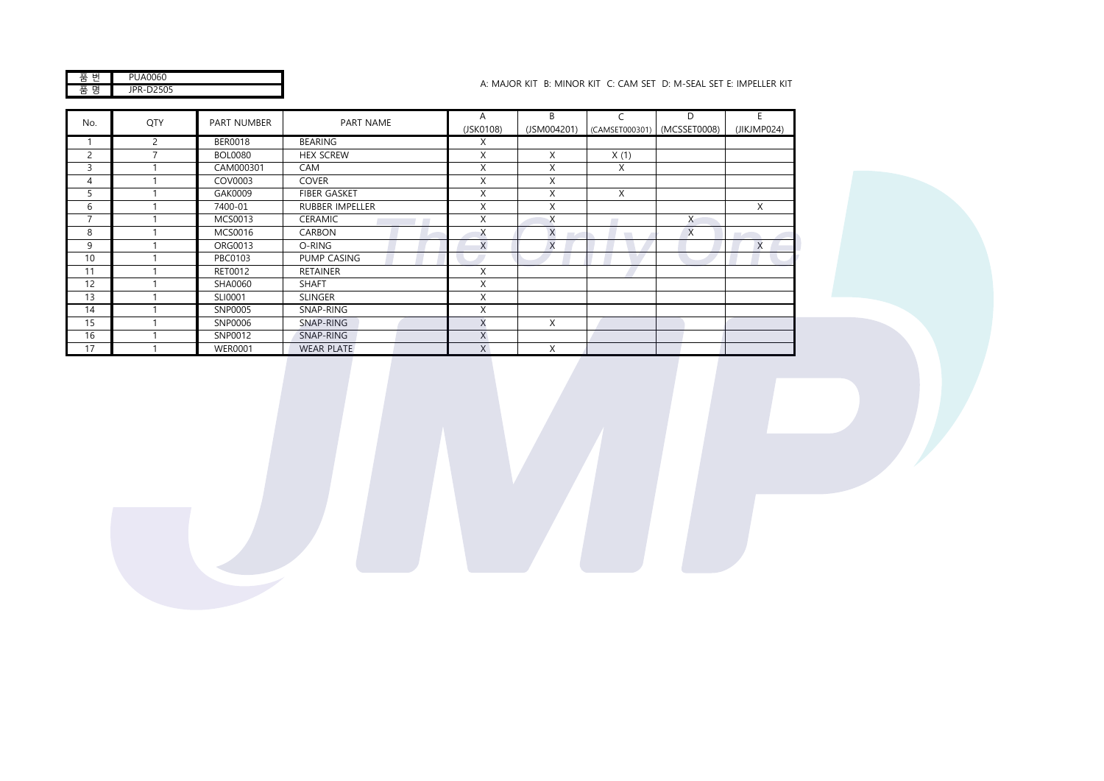| JA0060<br>۰. |
|--------------|
| S            |

## A: MAJOR KIT B: MINOR KIT C: CAM SET D: M-SEAL SET E: IMPELLER KIT

| No.            | QTY            | <b>PART NUMBER</b> | PART NAME              | A<br>(JSK0108) | B<br>(JSM004201) | C    | D<br>(CAMSET000301) (MCSSET0008) | E<br>(JIKJMP024) |
|----------------|----------------|--------------------|------------------------|----------------|------------------|------|----------------------------------|------------------|
|                | $\overline{c}$ | <b>BER0018</b>     | <b>BEARING</b>         | X              |                  |      |                                  |                  |
| $\overline{c}$ | -              | <b>BOL0080</b>     | <b>HEX SCREW</b>       | X              | X                | X(1) |                                  |                  |
| 3              |                | CAM000301          | CAM                    | X              | X                | X    |                                  |                  |
| 4              |                | COV0003            | <b>COVER</b>           | X              | X                |      |                                  |                  |
| 5              |                | GAK0009            | <b>FIBER GASKET</b>    | X              | X                | X    |                                  |                  |
| 6              |                | 7400-01            | <b>RUBBER IMPELLER</b> | X              | X                |      |                                  | X                |
| $\overline{7}$ |                | MCS0013            | <b>CERAMIC</b>         | X              | X                |      | X                                |                  |
| 8              |                | MCS0016            | CARBON                 | X              | $\times$<br>۰.   |      | X                                |                  |
| 9              |                | ORG0013            | O-RING                 | X              | $\times$         |      |                                  | X                |
| 10             |                | PBC0103            | PUMP CASING            |                |                  |      |                                  |                  |
| 11             |                | RET0012            | <b>RETAINER</b>        | X              |                  |      |                                  |                  |
| 12             |                | SHA0060            | <b>SHAFT</b>           | X              |                  |      |                                  |                  |
| 13             |                | SLI0001            | <b>SLINGER</b>         | X              |                  |      |                                  |                  |
| 14             |                | SNP0005            | SNAP-RING              | X              |                  |      |                                  |                  |
| 15             |                | SNP0006            | SNAP-RING              | X              | X                |      |                                  |                  |
| 16             |                | SNP0012            | SNAP-RING              | X              |                  |      |                                  |                  |
| 17             |                | <b>WER0001</b>     | <b>WEAR PLATE</b>      | X              | X                |      |                                  |                  |